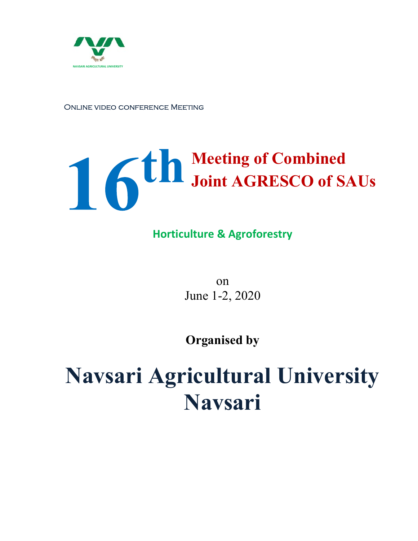

ONLINE VIDEO CONFERENCE MEETING

## th Meeting of Combined Joint AGRESCO of SAUs

### Horticulture & Agroforestry

on June 1-2, 2020

Organised by

# Navsari Agricultural University Navsari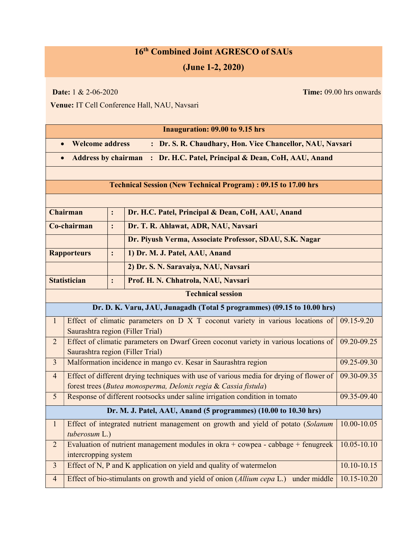### 16<sup>th</sup> Combined Joint AGRESCO of SAUs

#### (June 1-2, 2020)

**Date:**  $1 \& 2-06-2020$  Time: 09.00 hrs onwards

Venue: IT Cell Conference Hall, NAU, Navsari

| <b>Inauguration: 09.00 to 9.15 hrs</b>                                              |                                                                                                                             |                |                                                                                |             |  |  |  |
|-------------------------------------------------------------------------------------|-----------------------------------------------------------------------------------------------------------------------------|----------------|--------------------------------------------------------------------------------|-------------|--|--|--|
| <b>Welcome address</b><br>: Dr. S. R. Chaudhary, Hon. Vice Chancellor, NAU, Navsari |                                                                                                                             |                |                                                                                |             |  |  |  |
| : Dr. H.C. Patel, Principal & Dean, CoH, AAU, Anand<br><b>Address by chairman</b>   |                                                                                                                             |                |                                                                                |             |  |  |  |
|                                                                                     |                                                                                                                             |                |                                                                                |             |  |  |  |
| <b>Technical Session (New Technical Program): 09.15 to 17.00 hrs</b>                |                                                                                                                             |                |                                                                                |             |  |  |  |
|                                                                                     |                                                                                                                             |                |                                                                                |             |  |  |  |
| <b>Chairman</b>                                                                     |                                                                                                                             | $\ddot{\cdot}$ | Dr. H.C. Patel, Principal & Dean, CoH, AAU, Anand                              |             |  |  |  |
| Co-chairman                                                                         |                                                                                                                             | $\ddot{\cdot}$ | Dr. T. R. Ahlawat, ADR, NAU, Navsari                                           |             |  |  |  |
|                                                                                     |                                                                                                                             |                | Dr. Piyush Verma, Associate Professor, SDAU, S.K. Nagar                        |             |  |  |  |
| <b>Rapporteurs</b>                                                                  |                                                                                                                             | $\ddot{\cdot}$ | 1) Dr. M. J. Patel, AAU, Anand                                                 |             |  |  |  |
|                                                                                     |                                                                                                                             |                | 2) Dr. S. N. Saravaiya, NAU, Navsari                                           |             |  |  |  |
| <b>Statistician</b>                                                                 |                                                                                                                             | :              | Prof. H. N. Chhatrola, NAU, Navsari                                            |             |  |  |  |
|                                                                                     |                                                                                                                             |                | <b>Technical session</b>                                                       |             |  |  |  |
|                                                                                     |                                                                                                                             |                | Dr. D. K. Varu, JAU, Junagadh (Total 5 programmes) (09.15 to 10.00 hrs)        |             |  |  |  |
| $\mathbf{1}$                                                                        |                                                                                                                             |                | Effect of climatic parameters on D X T coconut variety in various locations of | 09.15-9.20  |  |  |  |
|                                                                                     | Saurashtra region (Filler Trial)                                                                                            |                |                                                                                |             |  |  |  |
| $\overline{2}$                                                                      | Effect of climatic parameters on Dwarf Green coconut variety in various locations of<br>Saurashtra region (Filler Trial)    |                | 09.20-09.25                                                                    |             |  |  |  |
| $\overline{3}$                                                                      | Malformation incidence in mango cv. Kesar in Saurashtra region                                                              |                | 09.25-09.30                                                                    |             |  |  |  |
| $\overline{4}$                                                                      | Effect of different drying techniques with use of various media for drying of flower of                                     |                |                                                                                | 09.30-09.35 |  |  |  |
|                                                                                     | forest trees (Butea monosperma, Delonix regia & Cassia fistula)                                                             |                |                                                                                |             |  |  |  |
| 5                                                                                   | Response of different rootsocks under saline irrigation condition in tomato<br>09.35-09.40                                  |                |                                                                                |             |  |  |  |
| Dr. M. J. Patel, AAU, Anand (5 programmes) (10.00 to 10.30 hrs)                     |                                                                                                                             |                |                                                                                |             |  |  |  |
| $\mathbf{1}$                                                                        | Effect of integrated nutrient management on growth and yield of potato (Solanum<br>10.00-10.05                              |                |                                                                                |             |  |  |  |
|                                                                                     | tuberosum L.)                                                                                                               |                |                                                                                |             |  |  |  |
| $\overline{2}$                                                                      | Evaluation of nutrient management modules in okra + cowpea - cabbage + fenugreek<br>$10.05 - 10.10$<br>intercropping system |                |                                                                                |             |  |  |  |
| $\mathfrak{Z}$                                                                      | Effect of N, P and K application on yield and quality of watermelon<br>10.10-10.15                                          |                |                                                                                |             |  |  |  |
| $\overline{4}$                                                                      | Effect of bio-stimulants on growth and yield of onion (Allium cepa L.)<br>10.15-10.20<br>under middle                       |                |                                                                                |             |  |  |  |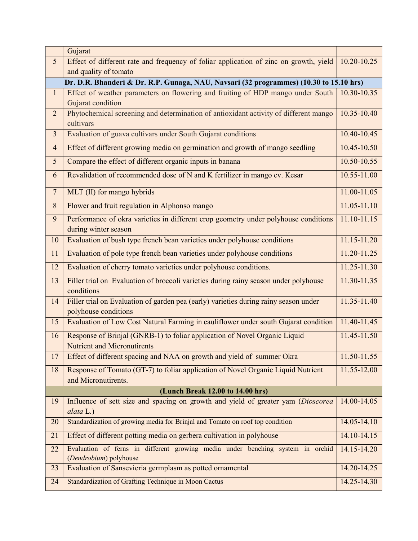|                 | Gujarat                                                                                                          |                 |  |  |  |  |  |  |  |
|-----------------|------------------------------------------------------------------------------------------------------------------|-----------------|--|--|--|--|--|--|--|
| $5\overline{)}$ | Effect of different rate and frequency of foliar application of zinc on growth, yield                            |                 |  |  |  |  |  |  |  |
|                 | and quality of tomato                                                                                            |                 |  |  |  |  |  |  |  |
|                 | Dr. D.R. Bhanderi & Dr. R.P. Gunaga, NAU, Navsari (32 programmes) (10.30 to 15.10 hrs)                           |                 |  |  |  |  |  |  |  |
| $\mathbf{1}$    | Effect of weather parameters on flowering and fruiting of HDP mango under South<br>Gujarat condition             |                 |  |  |  |  |  |  |  |
| $\overline{2}$  | Phytochemical screening and determination of antioxidant activity of different mango<br>cultivars                |                 |  |  |  |  |  |  |  |
| $\mathfrak{Z}$  | Evaluation of guava cultivars under South Gujarat conditions                                                     |                 |  |  |  |  |  |  |  |
| $\overline{4}$  | Effect of different growing media on germination and growth of mango seedling                                    |                 |  |  |  |  |  |  |  |
| 5               | Compare the effect of different organic inputs in banana                                                         |                 |  |  |  |  |  |  |  |
| 6               | Revalidation of recommended dose of N and K fertilizer in mango cv. Kesar                                        |                 |  |  |  |  |  |  |  |
| $\overline{7}$  | MLT (II) for mango hybrids                                                                                       |                 |  |  |  |  |  |  |  |
| 8               | Flower and fruit regulation in Alphonso mango                                                                    |                 |  |  |  |  |  |  |  |
| 9               | Performance of okra varieties in different crop geometry under polyhouse conditions<br>during winter season      | $11.10 - 11.15$ |  |  |  |  |  |  |  |
| 10              | Evaluation of bush type french bean varieties under polyhouse conditions                                         | $11.15 - 11.20$ |  |  |  |  |  |  |  |
| 11              | Evaluation of pole type french bean varieties under polyhouse conditions                                         | 11.20-11.25     |  |  |  |  |  |  |  |
| 12              | Evaluation of cherry tomato varieties under polyhouse conditions.                                                |                 |  |  |  |  |  |  |  |
| 13              | Filler trial on Evaluation of broccoli varieties during rainy season under polyhouse<br>conditions               |                 |  |  |  |  |  |  |  |
| 14              | Filler trial on Evaluation of garden pea (early) varieties during rainy season under<br>polyhouse conditions     |                 |  |  |  |  |  |  |  |
| 15              | Evaluation of Low Cost Natural Farming in cauliflower under south Gujarat condition                              |                 |  |  |  |  |  |  |  |
| 16              | Response of Brinjal (GNRB-1) to foliar application of Novel Organic Liquid<br><b>Nutrient and Micronutirents</b> |                 |  |  |  |  |  |  |  |
| 17              | Effect of different spacing and NAA on growth and yield of summer Okra                                           | 11.50-11.55     |  |  |  |  |  |  |  |
| 18              | Response of Tomato (GT-7) to foliar application of Novel Organic Liquid Nutrient<br>and Micronutirents.          |                 |  |  |  |  |  |  |  |
|                 | (Lunch Break 12.00 to 14.00 hrs)                                                                                 |                 |  |  |  |  |  |  |  |
| 19              | Influence of sett size and spacing on growth and yield of greater yam (Dioscorea<br>alata L.)                    | 14.00-14.05     |  |  |  |  |  |  |  |
| 20              | Standardization of growing media for Brinjal and Tomato on roof top condition                                    | 14.05-14.10     |  |  |  |  |  |  |  |
| 21              | Effect of different potting media on gerbera cultivation in polyhouse                                            |                 |  |  |  |  |  |  |  |
| 22              | Evaluation of ferns in different growing media under benching system in orchid<br>(Dendrobium) polyhouse         |                 |  |  |  |  |  |  |  |
| 23              | Evaluation of Sansevieria germplasm as potted ornamental                                                         |                 |  |  |  |  |  |  |  |
| 24              | Standardization of Grafting Technique in Moon Cactus                                                             | 14.25-14.30     |  |  |  |  |  |  |  |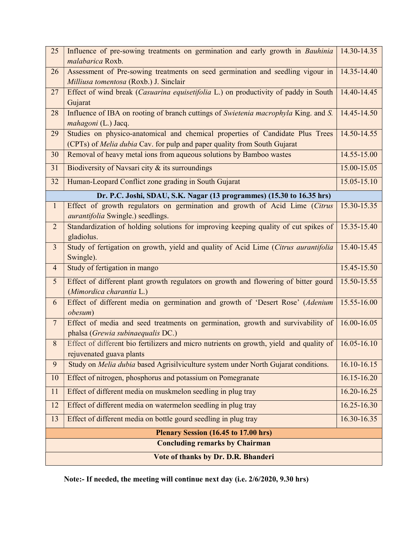| 25                                    | Influence of pre-sowing treatments on germination and early growth in Bauhinia<br>malabarica Roxb.                                                               |                 |  |  |  |  |  |
|---------------------------------------|------------------------------------------------------------------------------------------------------------------------------------------------------------------|-----------------|--|--|--|--|--|
| 26                                    | Assessment of Pre-sowing treatments on seed germination and seedling vigour in                                                                                   |                 |  |  |  |  |  |
|                                       | Milliusa tomentosa (Roxb.) J. Sinclair                                                                                                                           | 14.40-14.45     |  |  |  |  |  |
| 27                                    | Effect of wind break (Casuarina equisetifolia L.) on productivity of paddy in South<br>Gujarat                                                                   |                 |  |  |  |  |  |
| 28                                    | Influence of IBA on rooting of branch cuttings of Swietenia macrophyla King. and S.                                                                              |                 |  |  |  |  |  |
|                                       | mahagoni (L.) Jacq.                                                                                                                                              |                 |  |  |  |  |  |
| 29                                    | Studies on physico-anatomical and chemical properties of Candidate Plus Trees<br>(CPTs) of <i>Melia dubia</i> Cav. for pulp and paper quality from South Gujarat |                 |  |  |  |  |  |
| 30                                    | Removal of heavy metal ions from aqueous solutions by Bamboo wastes                                                                                              |                 |  |  |  |  |  |
|                                       | 14.55-15.00<br>15.00-15.05                                                                                                                                       |                 |  |  |  |  |  |
| 31                                    | Biodiversity of Navsari city & its surroundings                                                                                                                  |                 |  |  |  |  |  |
| 32                                    | Human-Leopard Conflict zone grading in South Gujarat<br>15.05-15.10                                                                                              |                 |  |  |  |  |  |
|                                       | Dr. P.C. Joshi, SDAU, S.K. Nagar (13 programmes) (15.30 to 16.35 hrs)                                                                                            |                 |  |  |  |  |  |
| $\mathbf{1}$                          | Effect of growth regulators on germination and growth of Acid Lime (Citrus<br><i>aurantifolia</i> Swingle.) seedlings.                                           | 15.30-15.35     |  |  |  |  |  |
| $\overline{2}$                        | Standardization of holding solutions for improving keeping quality of cut spikes of                                                                              | 15.35-15.40     |  |  |  |  |  |
|                                       | gladiolus.                                                                                                                                                       |                 |  |  |  |  |  |
| $\overline{3}$                        | Study of fertigation on growth, yield and quality of Acid Lime (Citrus aurantifolia<br>Swingle).                                                                 |                 |  |  |  |  |  |
| $\overline{4}$                        | Study of fertigation in mango                                                                                                                                    | 15.45-15.50     |  |  |  |  |  |
| $5\overline{)}$                       | Effect of different plant growth regulators on growth and flowering of bitter gourd                                                                              | 15.50-15.55     |  |  |  |  |  |
|                                       | (Mimordica charantia L.)                                                                                                                                         |                 |  |  |  |  |  |
| 6                                     | Effect of different media on germination and growth of 'Desert Rose' (Adenium<br>obesum)                                                                         |                 |  |  |  |  |  |
| $7\overline{ }$                       | Effect of media and seed treatments on germination, growth and survivability of                                                                                  |                 |  |  |  |  |  |
|                                       | phalsa (Grewia subinaequalis DC.)                                                                                                                                |                 |  |  |  |  |  |
| $8\,$                                 | Effect of different bio fertilizers and micro nutrients on growth, yield and quality of<br>rejuvenated guava plants                                              | $16.05 - 16.10$ |  |  |  |  |  |
| 9                                     | Study on Melia dubia based Agrisilviculture system under North Gujarat conditions.                                                                               | 16.10-16.15     |  |  |  |  |  |
| 10                                    | Effect of nitrogen, phosphorus and potassium on Pomegranate                                                                                                      | 16.15-16.20     |  |  |  |  |  |
| 11                                    | Effect of different media on muskmelon seedling in plug tray                                                                                                     | $16.20 - 16.25$ |  |  |  |  |  |
| 12                                    | Effect of different media on watermelon seedling in plug tray                                                                                                    | 16.25-16.30     |  |  |  |  |  |
| 13                                    | Effect of different media on bottle gourd seedling in plug tray                                                                                                  | 16.30-16.35     |  |  |  |  |  |
| Plenary Session (16.45 to 17.00 hrs)  |                                                                                                                                                                  |                 |  |  |  |  |  |
| <b>Concluding remarks by Chairman</b> |                                                                                                                                                                  |                 |  |  |  |  |  |
| Vote of thanks by Dr. D.R. Bhanderi   |                                                                                                                                                                  |                 |  |  |  |  |  |

Note:- If needed, the meeting will continue next day (i.e. 2/6/2020, 9.30 hrs)